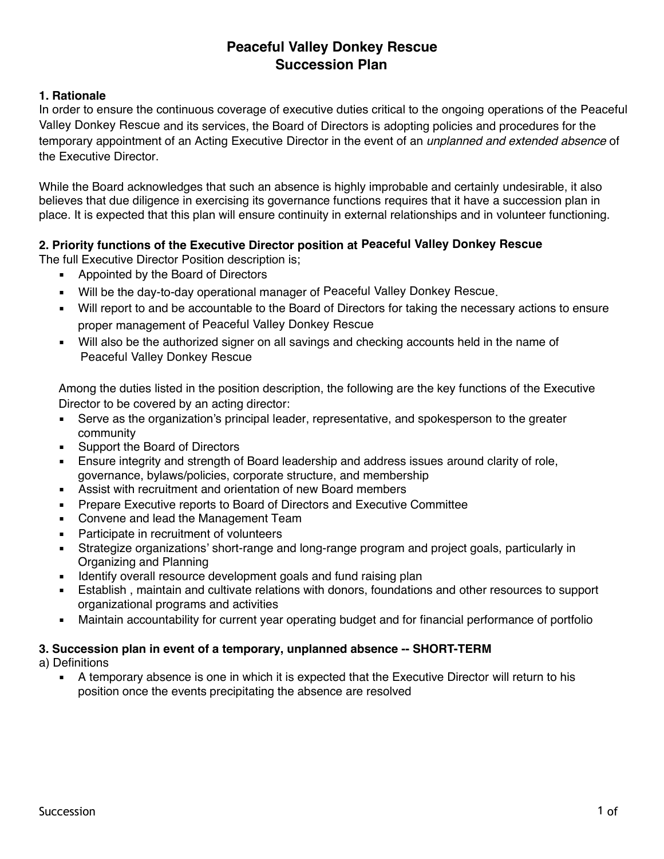# **Peaceful Valley Donkey Rescue Succession Plan**

#### **1. Rationale**

In order to ensure the continuous coverage of executive duties critical to the ongoing operations of the Peaceful Valley Donkey Rescue and its services, the Board of Directors is adopting policies and procedures for the temporary appointment of an Acting Executive Director in the event of an *unplanned and extended absence* of the Executive Director.

While the Board acknowledges that such an absence is highly improbable and certainly undesirable, it also believes that due diligence in exercising its governance functions requires that it have a succession plan in place. It is expected that this plan will ensure continuity in external relationships and in volunteer functioning.

# **2. Priority functions of the Executive Director position at Peaceful Valley Donkey Rescue**

The full Executive Director Position description is;

- Appointed by the Board of Directors
- Will be the day-to-day operational manager of Peaceful Valley Donkey Rescue.
- Will report to and be accountable to the Board of Directors for taking the necessary actions to ensure proper management of Peaceful Valley Donkey Rescue
- Will also be the authorized signer on all savings and checking accounts held in the name of Peaceful Valley Donkey Rescue

Among the duties listed in the position description, the following are the key functions of the Executive Director to be covered by an acting director:

- Serve as the organization's principal leader, representative, and spokesperson to the greater community
- Support the Board of Directors
- Ensure integrity and strength of Board leadership and address issues around clarity of role, governance, bylaws/policies, corporate structure, and membership
- Assist with recruitment and orientation of new Board members
- Prepare Executive reports to Board of Directors and Executive Committee
- Convene and lead the Management Team
- Participate in recruitment of volunteers
- **EXTERGHST Strategize organizations' short-range and long-range program and project goals, particularly in** Organizing and Planning
- **EXEDENTIFY OVER INTERS** resource development goals and fund raising plan
- Establish, maintain and cultivate relations with donors, foundations and other resources to support organizational programs and activities
- **■** Maintain accountability for current year operating budget and for financial performance of portfolio

## **3. Succession plan in event of a temporary, unplanned absence -- SHORT-TERM**

a) Definitions

■ A temporary absence is one in which it is expected that the Executive Director will return to his position once the events precipitating the absence are resolved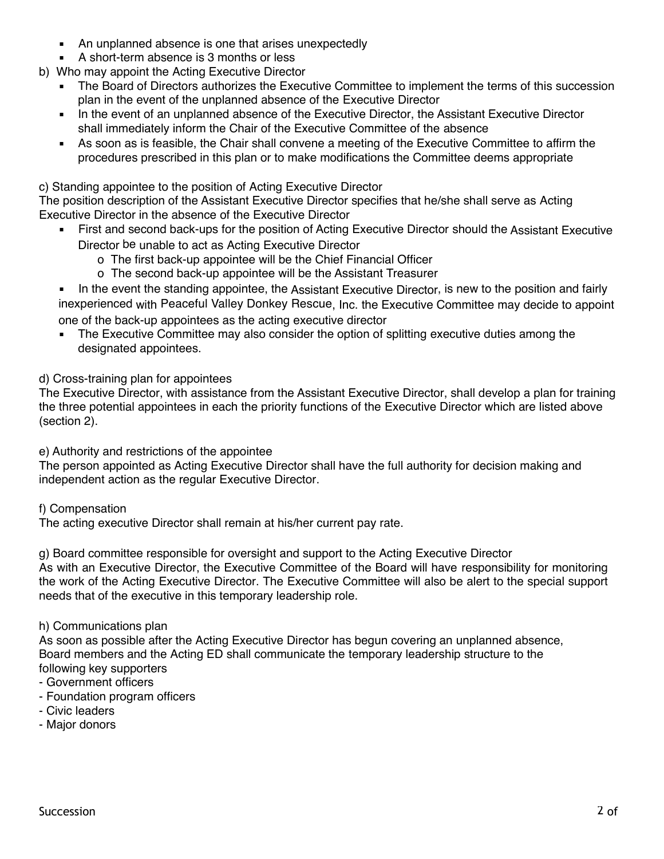- An unplanned absence is one that arises unexpectedly
- A short-term absence is 3 months or less
- b) Who may appoint the Acting Executive Director
	- The Board of Directors authorizes the Executive Committee to implement the terms of this succession plan in the event of the unplanned absence of the Executive Director
	- In the event of an unplanned absence of the Executive Director, the Assistant Executive Director shall immediately inform the Chair of the Executive Committee of the absence
	- As soon as is feasible, the Chair shall convene a meeting of the Executive Committee to affirm the procedures prescribed in this plan or to make modifications the Committee deems appropriate

c) Standing appointee to the position of Acting Executive Director

The position description of the Assistant Executive Director specifies that he/she shall serve as Acting Executive Director in the absence of the Executive Director

- First and second back-ups for the position of Acting Executive Director should the Assistant Executive Director be unable to act as Acting Executive Director
	- o The first back-up appointee will be the Chief Financial Officer
	- o The second back-up appointee will be the Assistant Treasurer
- In the event the standing appointee, the Assistant Executive Director, is new to the position and fairly inexperienced with Peaceful Valley Donkey Rescue, Inc. the Executive Committee may decide to appoint one of the back-up appointees as the acting executive director
- The Executive Committee may also consider the option of splitting executive duties among the designated appointees.

# d) Cross-training plan for appointees

The Executive Director, with assistance from the Assistant Executive Director, shall develop a plan for training the three potential appointees in each the priority functions of the Executive Director which are listed above (section 2).

e) Authority and restrictions of the appointee

The person appointed as Acting Executive Director shall have the full authority for decision making and independent action as the regular Executive Director.

f) Compensation

The acting executive Director shall remain at his/her current pay rate.

g) Board committee responsible for oversight and support to the Acting Executive Director As with an Executive Director, the Executive Committee of the Board will have responsibility for monitoring the work of the Acting Executive Director. The Executive Committee will also be alert to the special support needs that of the executive in this temporary leadership role.

## h) Communications plan

As soon as possible after the Acting Executive Director has begun covering an unplanned absence, Board members and the Acting ED shall communicate the temporary leadership structure to the following key supporters

## - Government officers

- Foundation program officers
- Civic leaders
- Major donors